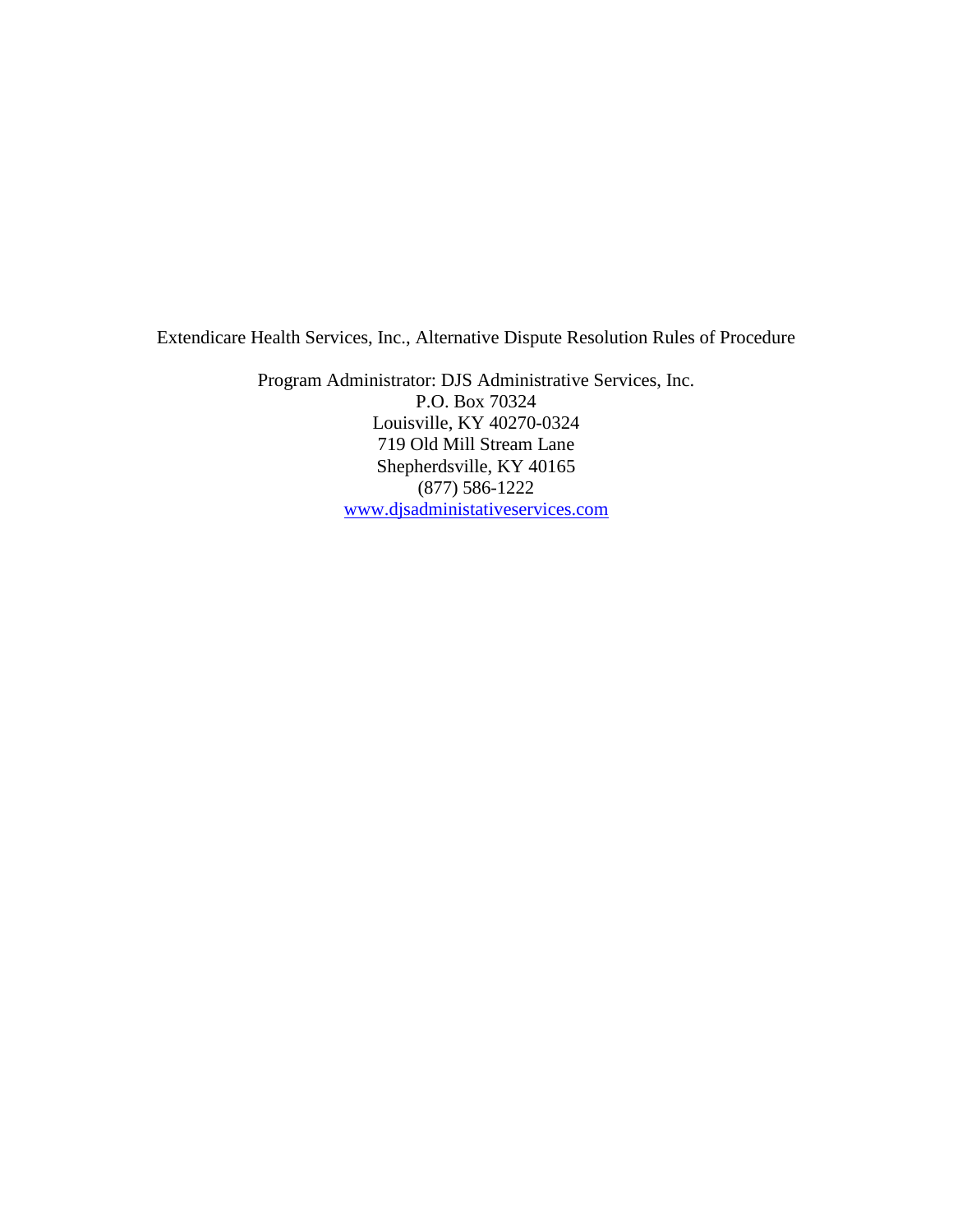Extendicare Health Services, Inc., Alternative Dispute Resolution Rules of Procedure

Program Administrator: DJS Administrative Services, Inc. P.O. Box 70324 Louisville, KY 40270-0324 719 Old Mill Stream Lane Shepherdsville, KY 40165 (877) 586-1222 [www.djsadministativeservices.com](http://www.djsadministativeservices.com/)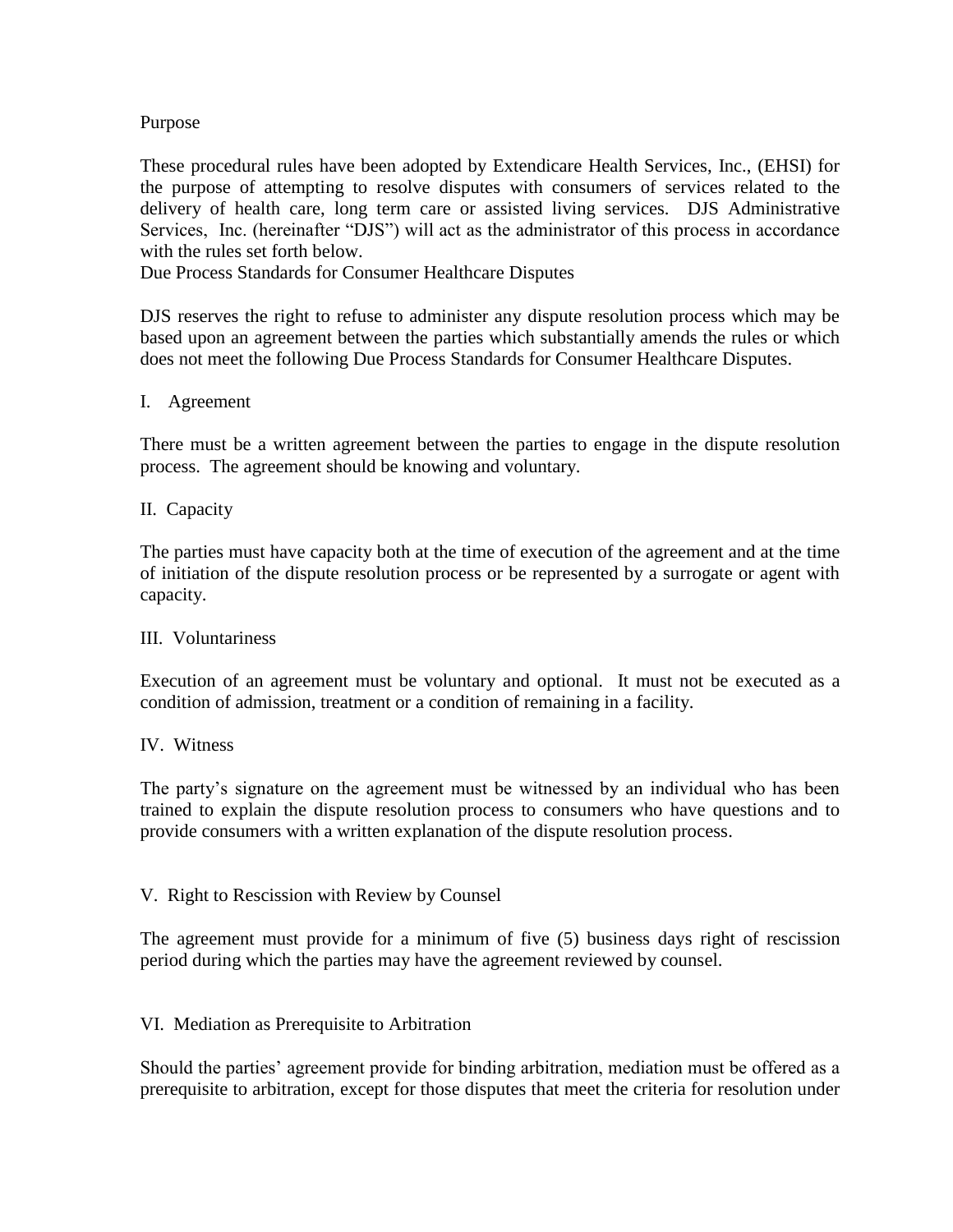# Purpose

These procedural rules have been adopted by Extendicare Health Services, Inc., (EHSI) for the purpose of attempting to resolve disputes with consumers of services related to the delivery of health care, long term care or assisted living services. DJS Administrative Services, Inc. (hereinafter "DJS") will act as the administrator of this process in accordance with the rules set forth below.

Due Process Standards for Consumer Healthcare Disputes

DJS reserves the right to refuse to administer any dispute resolution process which may be based upon an agreement between the parties which substantially amends the rules or which does not meet the following Due Process Standards for Consumer Healthcare Disputes.

### I. Agreement

There must be a written agreement between the parties to engage in the dispute resolution process. The agreement should be knowing and voluntary.

### II. Capacity

The parties must have capacity both at the time of execution of the agreement and at the time of initiation of the dispute resolution process or be represented by a surrogate or agent with capacity.

### III. Voluntariness

Execution of an agreement must be voluntary and optional. It must not be executed as a condition of admission, treatment or a condition of remaining in a facility.

### IV. Witness

The party's signature on the agreement must be witnessed by an individual who has been trained to explain the dispute resolution process to consumers who have questions and to provide consumers with a written explanation of the dispute resolution process.

### V. Right to Rescission with Review by Counsel

The agreement must provide for a minimum of five (5) business days right of rescission period during which the parties may have the agreement reviewed by counsel.

### VI. Mediation as Prerequisite to Arbitration

Should the parties' agreement provide for binding arbitration, mediation must be offered as a prerequisite to arbitration, except for those disputes that meet the criteria for resolution under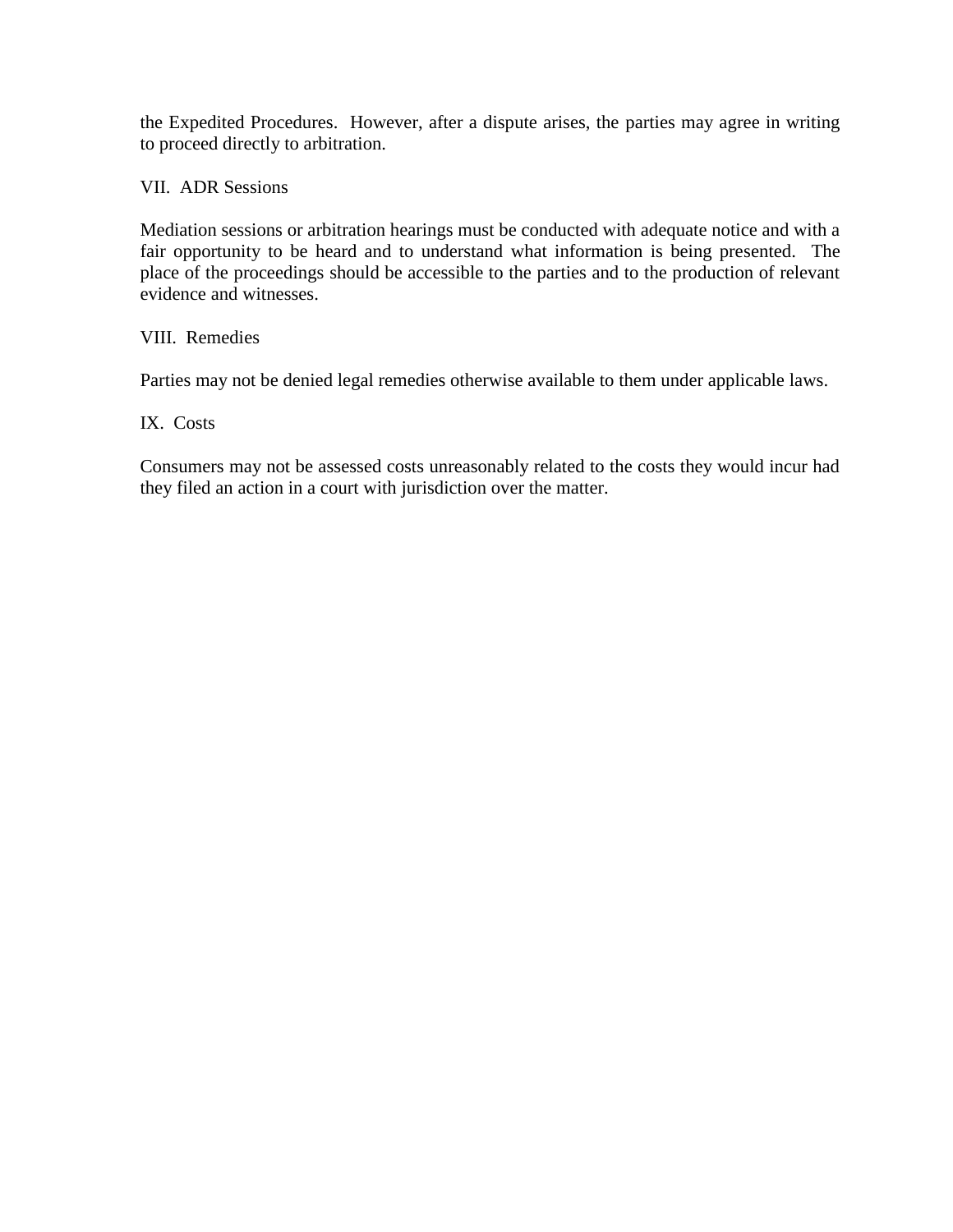the Expedited Procedures. However, after a dispute arises, the parties may agree in writing to proceed directly to arbitration.

VII. ADR Sessions

Mediation sessions or arbitration hearings must be conducted with adequate notice and with a fair opportunity to be heard and to understand what information is being presented. The place of the proceedings should be accessible to the parties and to the production of relevant evidence and witnesses.

# VIII. Remedies

Parties may not be denied legal remedies otherwise available to them under applicable laws.

IX. Costs

Consumers may not be assessed costs unreasonably related to the costs they would incur had they filed an action in a court with jurisdiction over the matter.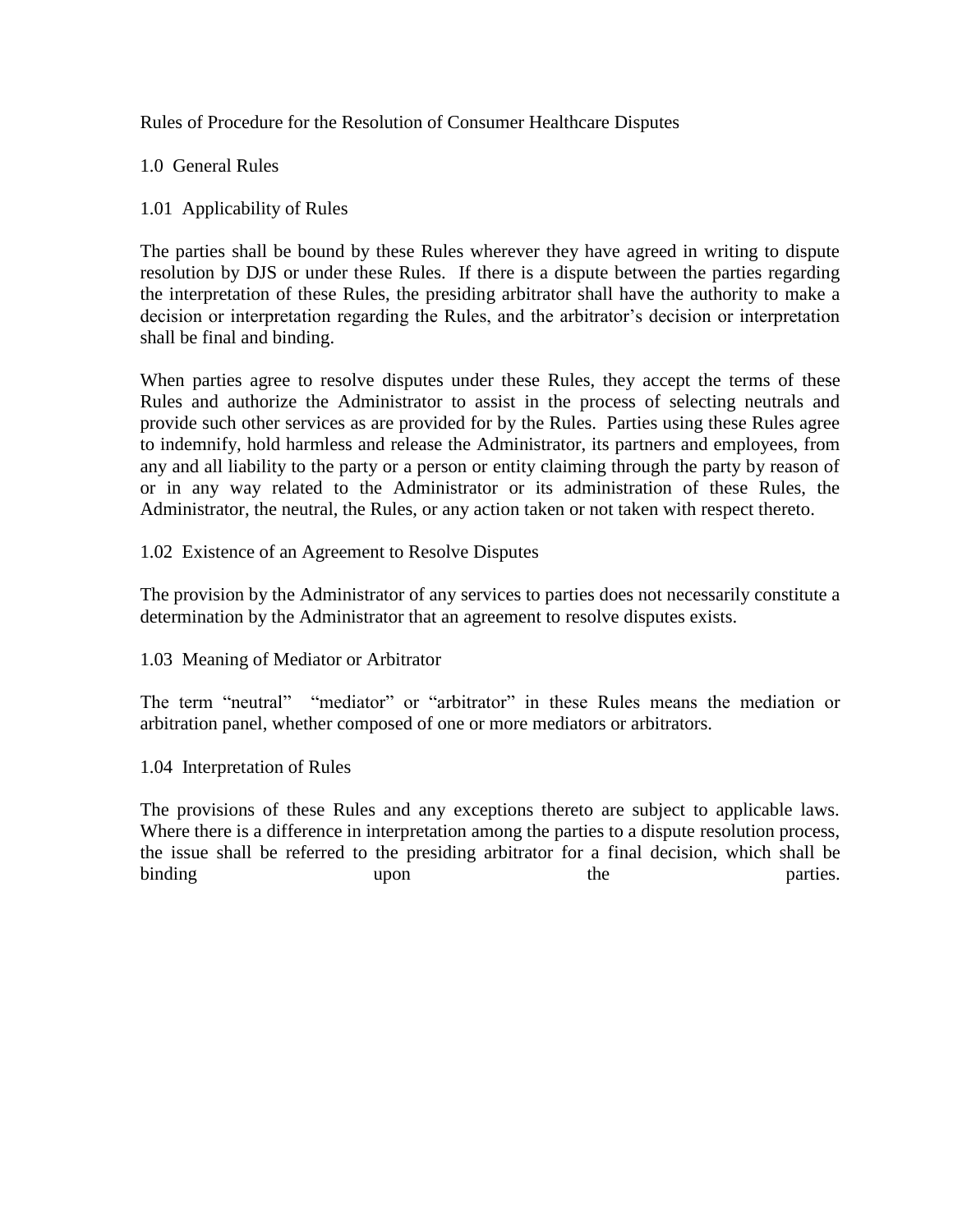Rules of Procedure for the Resolution of Consumer Healthcare Disputes

1.0 General Rules

# 1.01 Applicability of Rules

The parties shall be bound by these Rules wherever they have agreed in writing to dispute resolution by DJS or under these Rules. If there is a dispute between the parties regarding the interpretation of these Rules, the presiding arbitrator shall have the authority to make a decision or interpretation regarding the Rules, and the arbitrator's decision or interpretation shall be final and binding.

When parties agree to resolve disputes under these Rules, they accept the terms of these Rules and authorize the Administrator to assist in the process of selecting neutrals and provide such other services as are provided for by the Rules. Parties using these Rules agree to indemnify, hold harmless and release the Administrator, its partners and employees, from any and all liability to the party or a person or entity claiming through the party by reason of or in any way related to the Administrator or its administration of these Rules, the Administrator, the neutral, the Rules, or any action taken or not taken with respect thereto.

1.02 Existence of an Agreement to Resolve Disputes

The provision by the Administrator of any services to parties does not necessarily constitute a determination by the Administrator that an agreement to resolve disputes exists.

1.03 Meaning of Mediator or Arbitrator

The term "neutral" "mediator" or "arbitrator" in these Rules means the mediation or arbitration panel, whether composed of one or more mediators or arbitrators.

1.04 Interpretation of Rules

The provisions of these Rules and any exceptions thereto are subject to applicable laws. Where there is a difference in interpretation among the parties to a dispute resolution process, the issue shall be referred to the presiding arbitrator for a final decision, which shall be binding upon the parties.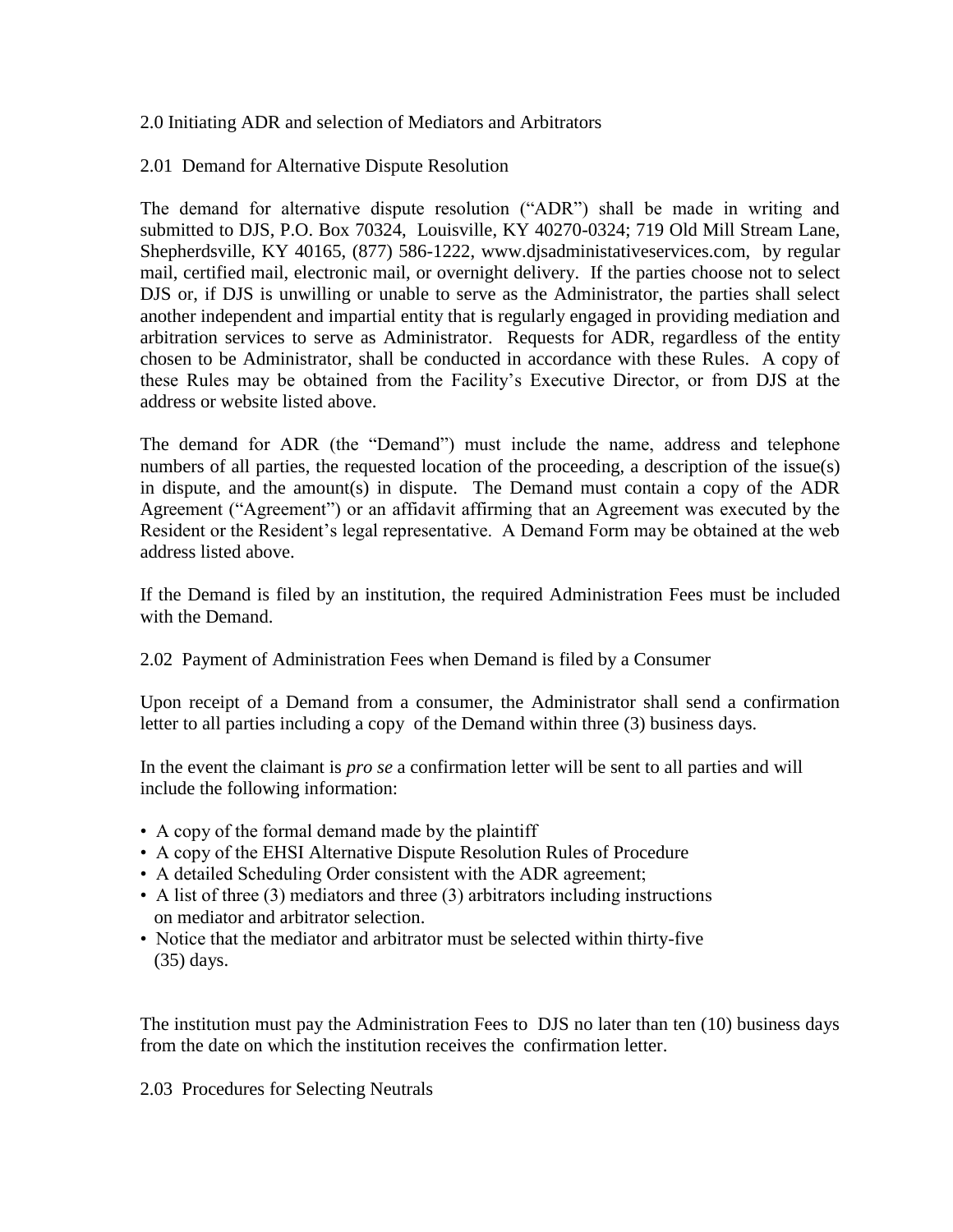### 2.0 Initiating ADR and selection of Mediators and Arbitrators

# 2.01 Demand for Alternative Dispute Resolution

The demand for alternative dispute resolution ("ADR") shall be made in writing and submitted to DJS, P.O. Box 70324, Louisville, KY 40270-0324; 719 Old Mill Stream Lane, Shepherdsville, KY 40165, (877) 586-1222, www.djsadministativeservices.com, by regular mail, certified mail, electronic mail, or overnight delivery. If the parties choose not to select DJS or, if DJS is unwilling or unable to serve as the Administrator, the parties shall select another independent and impartial entity that is regularly engaged in providing mediation and arbitration services to serve as Administrator. Requests for ADR, regardless of the entity chosen to be Administrator, shall be conducted in accordance with these Rules. A copy of these Rules may be obtained from the Facility's Executive Director, or from DJS at the address or website listed above.

The demand for ADR (the "Demand") must include the name, address and telephone numbers of all parties, the requested location of the proceeding, a description of the issue(s) in dispute, and the amount(s) in dispute. The Demand must contain a copy of the ADR Agreement ("Agreement") or an affidavit affirming that an Agreement was executed by the Resident or the Resident's legal representative. A Demand Form may be obtained at the web address listed above.

If the Demand is filed by an institution, the required Administration Fees must be included with the Demand.

# 2.02 Payment of Administration Fees when Demand is filed by a Consumer

Upon receipt of a Demand from a consumer, the Administrator shall send a confirmation letter to all parties including a copy of the Demand within three (3) business days.

In the event the claimant is *pro se* a confirmation letter will be sent to all parties and will include the following information:

- A copy of the formal demand made by the plaintiff
- A copy of the EHSI Alternative Dispute Resolution Rules of Procedure
- A detailed Scheduling Order consistent with the ADR agreement;
- A list of three (3) mediators and three (3) arbitrators including instructions on mediator and arbitrator selection.
- Notice that the mediator and arbitrator must be selected within thirty-five (35) days.

The institution must pay the Administration Fees to DJS no later than ten (10) business days from the date on which the institution receives the confirmation letter.

2.03 Procedures for Selecting Neutrals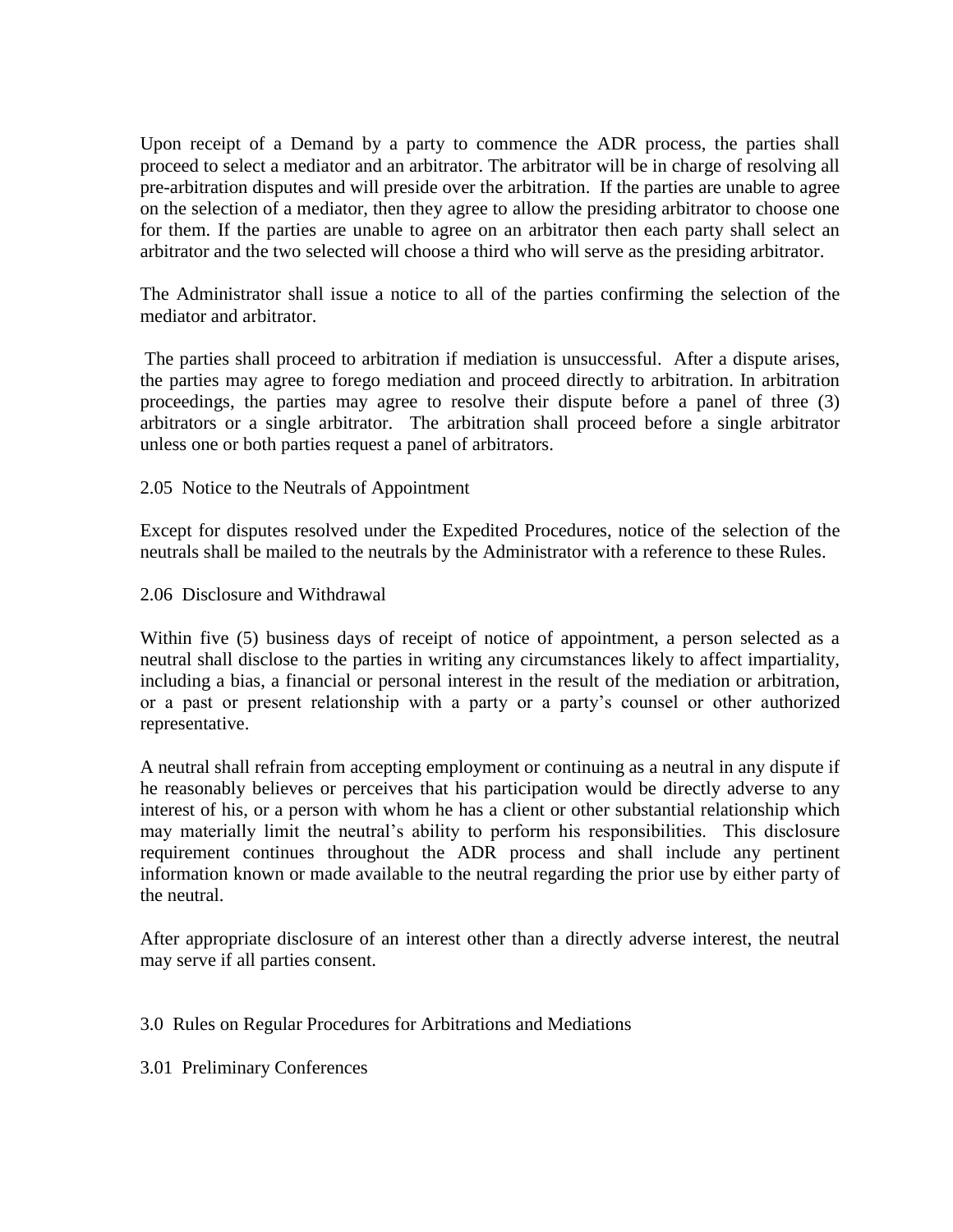Upon receipt of a Demand by a party to commence the ADR process, the parties shall proceed to select a mediator and an arbitrator. The arbitrator will be in charge of resolving all pre-arbitration disputes and will preside over the arbitration. If the parties are unable to agree on the selection of a mediator, then they agree to allow the presiding arbitrator to choose one for them. If the parties are unable to agree on an arbitrator then each party shall select an arbitrator and the two selected will choose a third who will serve as the presiding arbitrator.

The Administrator shall issue a notice to all of the parties confirming the selection of the mediator and arbitrator.

The parties shall proceed to arbitration if mediation is unsuccessful. After a dispute arises, the parties may agree to forego mediation and proceed directly to arbitration. In arbitration proceedings, the parties may agree to resolve their dispute before a panel of three (3) arbitrators or a single arbitrator. The arbitration shall proceed before a single arbitrator unless one or both parties request a panel of arbitrators.

2.05 Notice to the Neutrals of Appointment

Except for disputes resolved under the Expedited Procedures, notice of the selection of the neutrals shall be mailed to the neutrals by the Administrator with a reference to these Rules.

2.06 Disclosure and Withdrawal

Within five (5) business days of receipt of notice of appointment, a person selected as a neutral shall disclose to the parties in writing any circumstances likely to affect impartiality, including a bias, a financial or personal interest in the result of the mediation or arbitration, or a past or present relationship with a party or a party's counsel or other authorized representative.

A neutral shall refrain from accepting employment or continuing as a neutral in any dispute if he reasonably believes or perceives that his participation would be directly adverse to any interest of his, or a person with whom he has a client or other substantial relationship which may materially limit the neutral's ability to perform his responsibilities. This disclosure requirement continues throughout the ADR process and shall include any pertinent information known or made available to the neutral regarding the prior use by either party of the neutral.

After appropriate disclosure of an interest other than a directly adverse interest, the neutral may serve if all parties consent.

3.0 Rules on Regular Procedures for Arbitrations and Mediations

3.01 Preliminary Conferences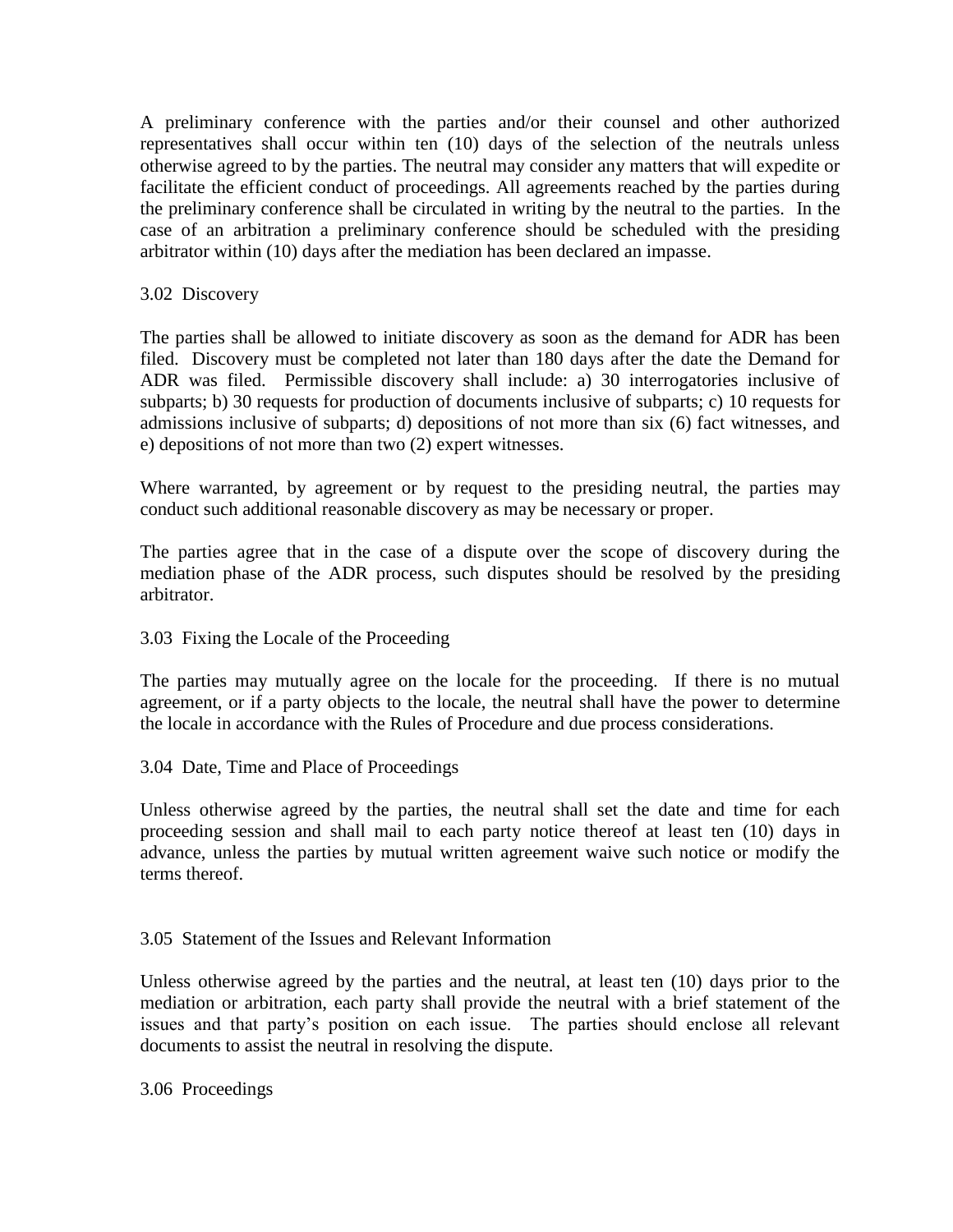A preliminary conference with the parties and/or their counsel and other authorized representatives shall occur within ten (10) days of the selection of the neutrals unless otherwise agreed to by the parties. The neutral may consider any matters that will expedite or facilitate the efficient conduct of proceedings. All agreements reached by the parties during the preliminary conference shall be circulated in writing by the neutral to the parties. In the case of an arbitration a preliminary conference should be scheduled with the presiding arbitrator within (10) days after the mediation has been declared an impasse.

# 3.02 Discovery

The parties shall be allowed to initiate discovery as soon as the demand for ADR has been filed. Discovery must be completed not later than 180 days after the date the Demand for ADR was filed. Permissible discovery shall include: a) 30 interrogatories inclusive of subparts; b) 30 requests for production of documents inclusive of subparts; c) 10 requests for admissions inclusive of subparts; d) depositions of not more than six (6) fact witnesses, and e) depositions of not more than two (2) expert witnesses.

Where warranted, by agreement or by request to the presiding neutral, the parties may conduct such additional reasonable discovery as may be necessary or proper.

The parties agree that in the case of a dispute over the scope of discovery during the mediation phase of the ADR process, such disputes should be resolved by the presiding arbitrator.

### 3.03 Fixing the Locale of the Proceeding

The parties may mutually agree on the locale for the proceeding. If there is no mutual agreement, or if a party objects to the locale, the neutral shall have the power to determine the locale in accordance with the Rules of Procedure and due process considerations.

3.04 Date, Time and Place of Proceedings

Unless otherwise agreed by the parties, the neutral shall set the date and time for each proceeding session and shall mail to each party notice thereof at least ten (10) days in advance, unless the parties by mutual written agreement waive such notice or modify the terms thereof.

### 3.05 Statement of the Issues and Relevant Information

Unless otherwise agreed by the parties and the neutral, at least ten (10) days prior to the mediation or arbitration, each party shall provide the neutral with a brief statement of the issues and that party's position on each issue. The parties should enclose all relevant documents to assist the neutral in resolving the dispute.

3.06 Proceedings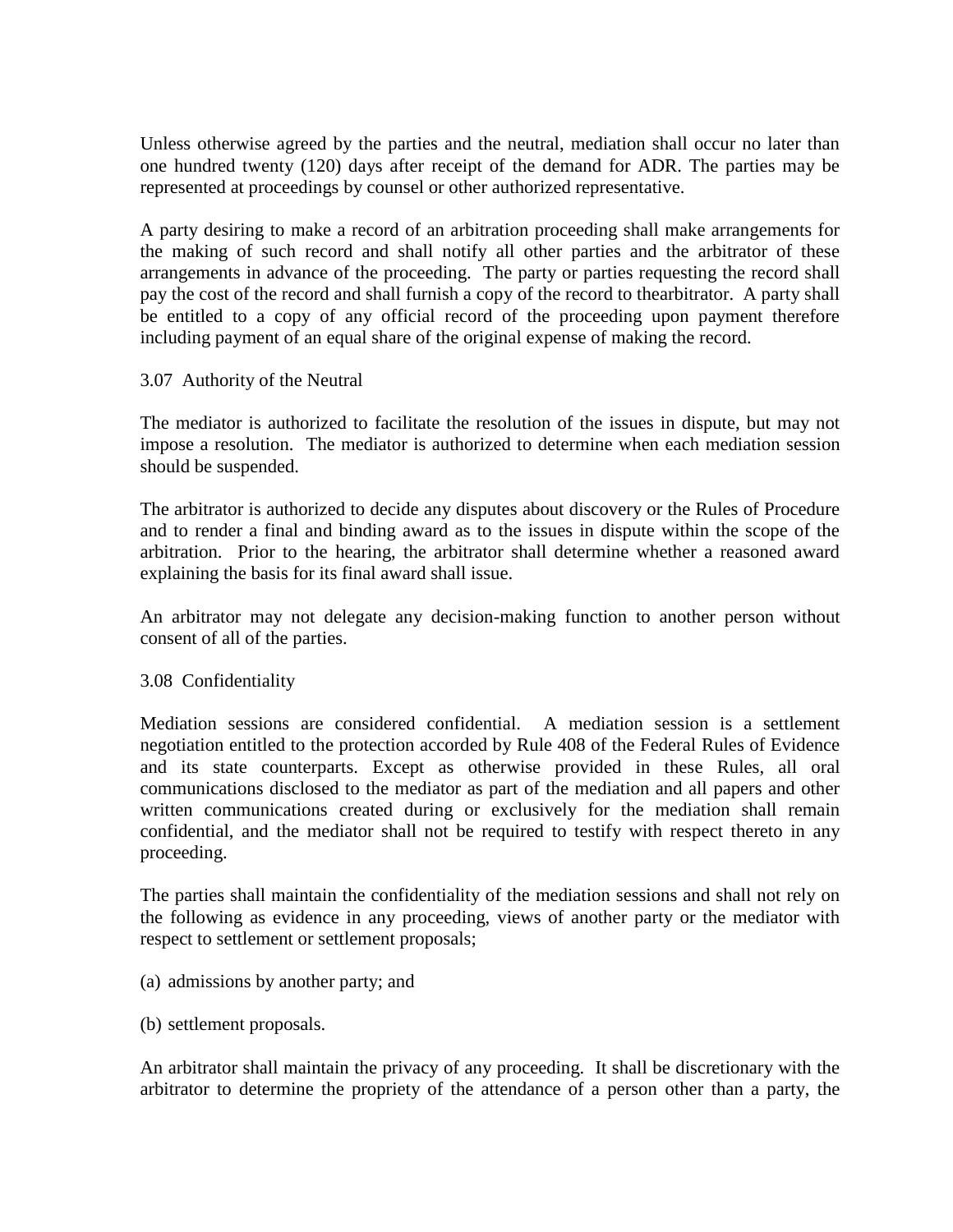Unless otherwise agreed by the parties and the neutral, mediation shall occur no later than one hundred twenty (120) days after receipt of the demand for ADR. The parties may be represented at proceedings by counsel or other authorized representative.

A party desiring to make a record of an arbitration proceeding shall make arrangements for the making of such record and shall notify all other parties and the arbitrator of these arrangements in advance of the proceeding. The party or parties requesting the record shall pay the cost of the record and shall furnish a copy of the record to thearbitrator. A party shall be entitled to a copy of any official record of the proceeding upon payment therefore including payment of an equal share of the original expense of making the record.

### 3.07 Authority of the Neutral

The mediator is authorized to facilitate the resolution of the issues in dispute, but may not impose a resolution. The mediator is authorized to determine when each mediation session should be suspended.

The arbitrator is authorized to decide any disputes about discovery or the Rules of Procedure and to render a final and binding award as to the issues in dispute within the scope of the arbitration. Prior to the hearing, the arbitrator shall determine whether a reasoned award explaining the basis for its final award shall issue.

An arbitrator may not delegate any decision-making function to another person without consent of all of the parties.

### 3.08 Confidentiality

Mediation sessions are considered confidential. A mediation session is a settlement negotiation entitled to the protection accorded by Rule 408 of the Federal Rules of Evidence and its state counterparts. Except as otherwise provided in these Rules, all oral communications disclosed to the mediator as part of the mediation and all papers and other written communications created during or exclusively for the mediation shall remain confidential, and the mediator shall not be required to testify with respect thereto in any proceeding.

The parties shall maintain the confidentiality of the mediation sessions and shall not rely on the following as evidence in any proceeding, views of another party or the mediator with respect to settlement or settlement proposals;

- (a) admissions by another party; and
- (b) settlement proposals.

An arbitrator shall maintain the privacy of any proceeding. It shall be discretionary with the arbitrator to determine the propriety of the attendance of a person other than a party, the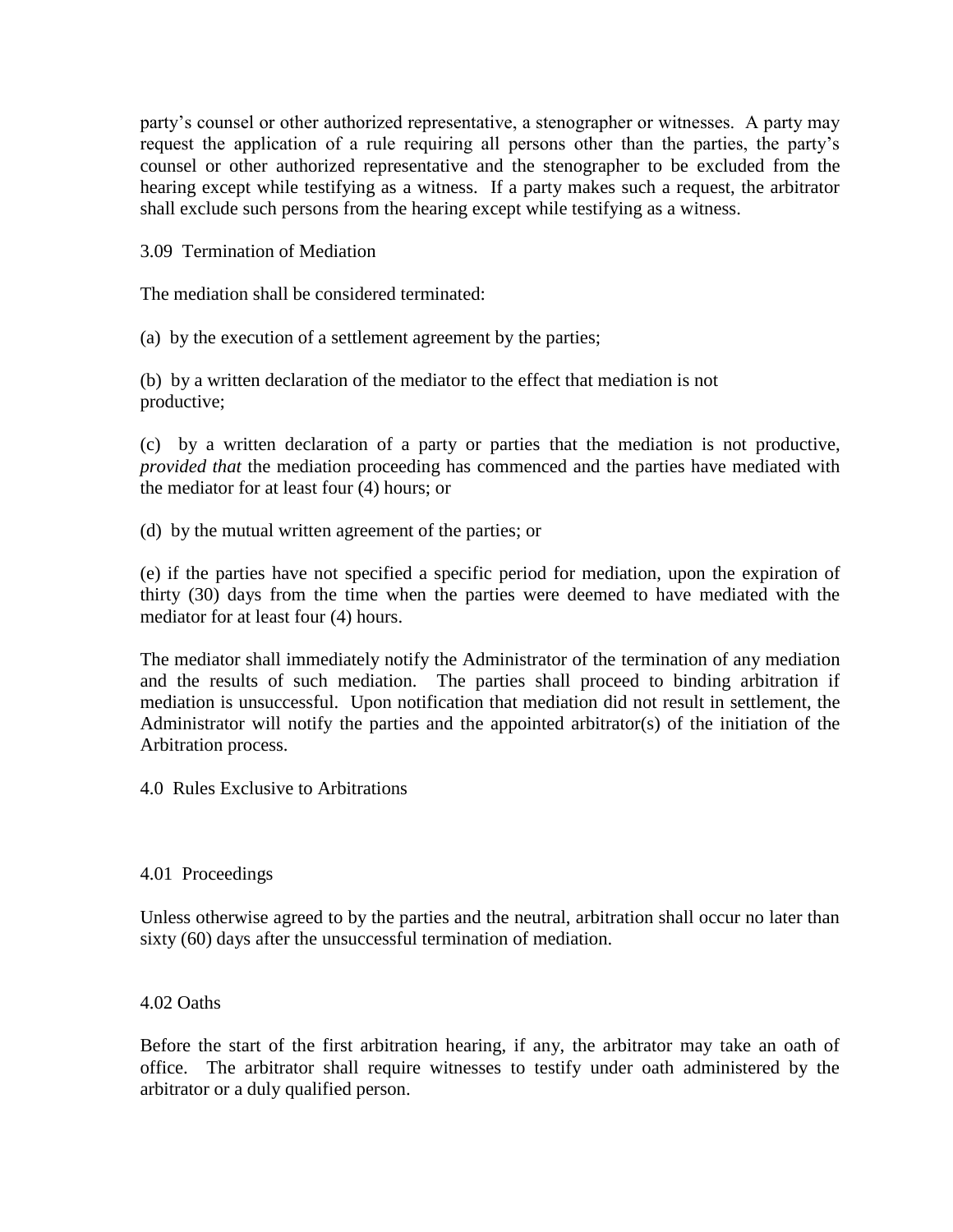party's counsel or other authorized representative, a stenographer or witnesses. A party may request the application of a rule requiring all persons other than the parties, the party's counsel or other authorized representative and the stenographer to be excluded from the hearing except while testifying as a witness. If a party makes such a request, the arbitrator shall exclude such persons from the hearing except while testifying as a witness.

3.09 Termination of Mediation

The mediation shall be considered terminated:

(a) by the execution of a settlement agreement by the parties;

(b) by a written declaration of the mediator to the effect that mediation is not productive;

(c) by a written declaration of a party or parties that the mediation is not productive, *provided that* the mediation proceeding has commenced and the parties have mediated with the mediator for at least four (4) hours; or

(d) by the mutual written agreement of the parties; or

(e) if the parties have not specified a specific period for mediation, upon the expiration of thirty (30) days from the time when the parties were deemed to have mediated with the mediator for at least four (4) hours.

The mediator shall immediately notify the Administrator of the termination of any mediation and the results of such mediation. The parties shall proceed to binding arbitration if mediation is unsuccessful. Upon notification that mediation did not result in settlement, the Administrator will notify the parties and the appointed arbitrator(s) of the initiation of the Arbitration process.

4.0 Rules Exclusive to Arbitrations

4.01 Proceedings

Unless otherwise agreed to by the parties and the neutral, arbitration shall occur no later than sixty (60) days after the unsuccessful termination of mediation.

4.02 Oaths

Before the start of the first arbitration hearing, if any, the arbitrator may take an oath of office. The arbitrator shall require witnesses to testify under oath administered by the arbitrator or a duly qualified person.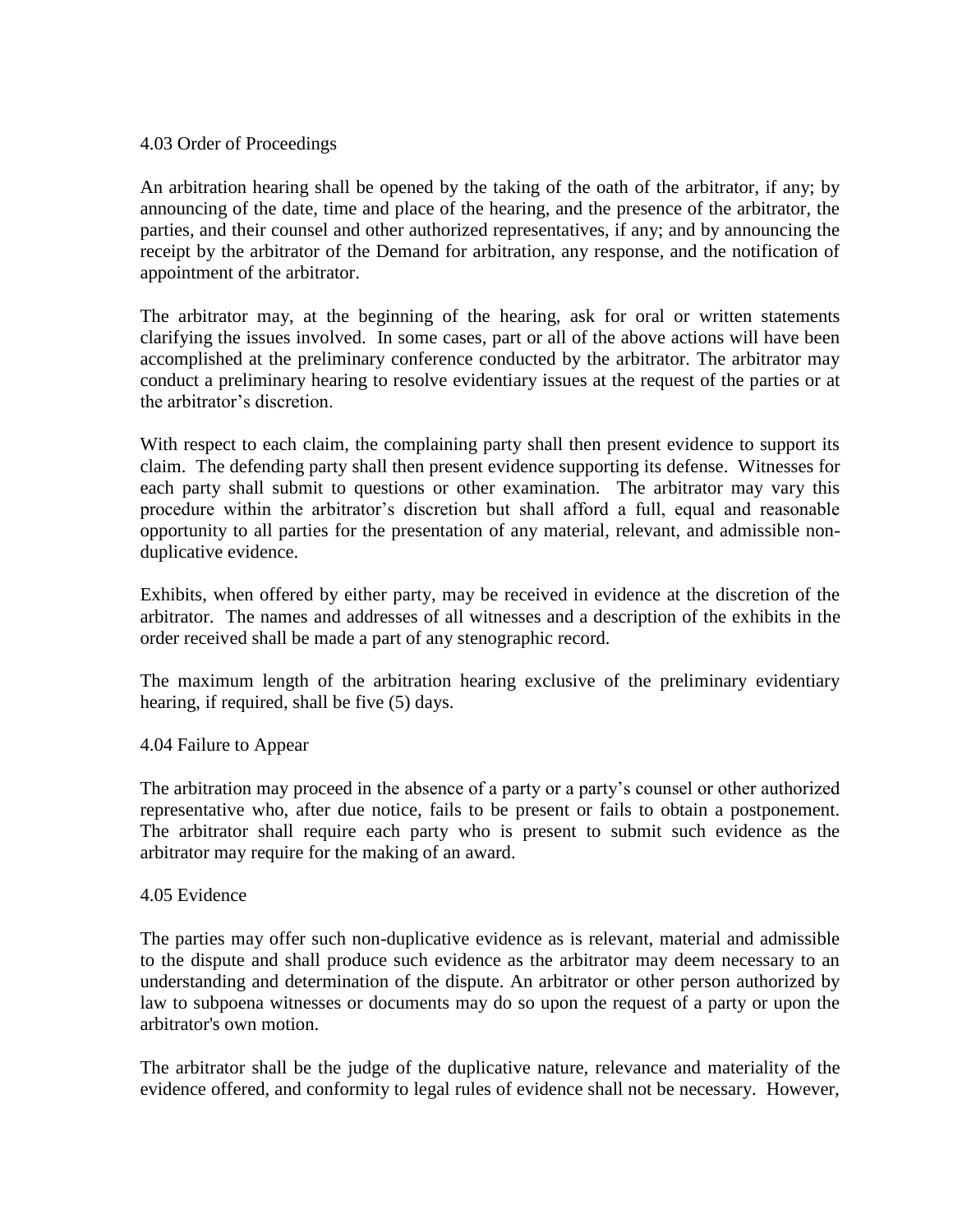### 4.03 Order of Proceedings

An arbitration hearing shall be opened by the taking of the oath of the arbitrator, if any; by announcing of the date, time and place of the hearing, and the presence of the arbitrator, the parties, and their counsel and other authorized representatives, if any; and by announcing the receipt by the arbitrator of the Demand for arbitration, any response, and the notification of appointment of the arbitrator.

The arbitrator may, at the beginning of the hearing, ask for oral or written statements clarifying the issues involved. In some cases, part or all of the above actions will have been accomplished at the preliminary conference conducted by the arbitrator. The arbitrator may conduct a preliminary hearing to resolve evidentiary issues at the request of the parties or at the arbitrator's discretion.

With respect to each claim, the complaining party shall then present evidence to support its claim. The defending party shall then present evidence supporting its defense. Witnesses for each party shall submit to questions or other examination. The arbitrator may vary this procedure within the arbitrator's discretion but shall afford a full, equal and reasonable opportunity to all parties for the presentation of any material, relevant, and admissible nonduplicative evidence.

Exhibits, when offered by either party, may be received in evidence at the discretion of the arbitrator. The names and addresses of all witnesses and a description of the exhibits in the order received shall be made a part of any stenographic record.

The maximum length of the arbitration hearing exclusive of the preliminary evidentiary hearing, if required, shall be five (5) days.

### 4.04 Failure to Appear

The arbitration may proceed in the absence of a party or a party's counsel or other authorized representative who, after due notice, fails to be present or fails to obtain a postponement. The arbitrator shall require each party who is present to submit such evidence as the arbitrator may require for the making of an award.

#### 4.05 Evidence

The parties may offer such non-duplicative evidence as is relevant, material and admissible to the dispute and shall produce such evidence as the arbitrator may deem necessary to an understanding and determination of the dispute. An arbitrator or other person authorized by law to subpoena witnesses or documents may do so upon the request of a party or upon the arbitrator's own motion.

The arbitrator shall be the judge of the duplicative nature, relevance and materiality of the evidence offered, and conformity to legal rules of evidence shall not be necessary. However,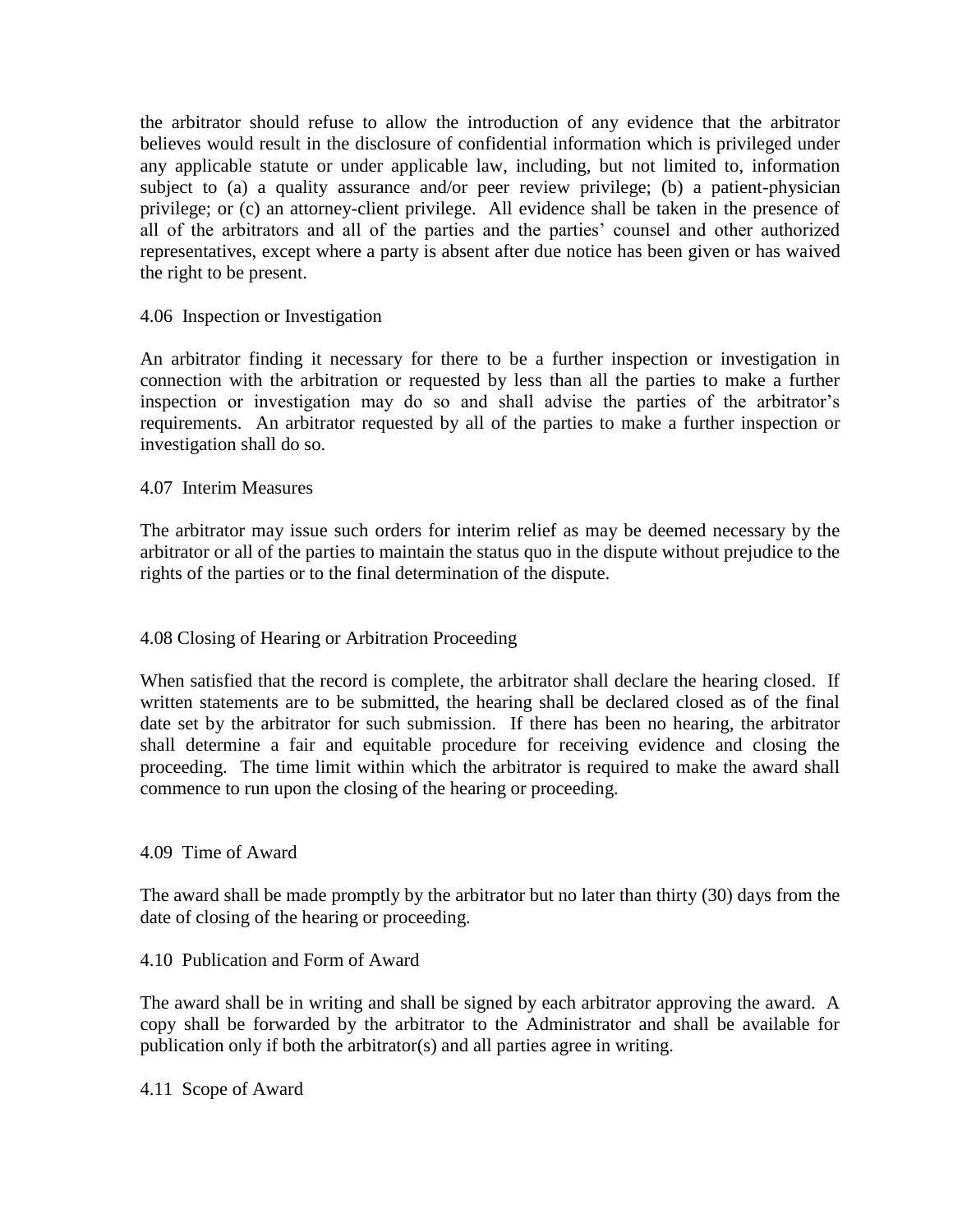the arbitrator should refuse to allow the introduction of any evidence that the arbitrator believes would result in the disclosure of confidential information which is privileged under any applicable statute or under applicable law, including, but not limited to, information subject to (a) a quality assurance and/or peer review privilege; (b) a patient-physician privilege; or (c) an attorney-client privilege. All evidence shall be taken in the presence of all of the arbitrators and all of the parties and the parties' counsel and other authorized representatives, except where a party is absent after due notice has been given or has waived the right to be present.

# 4.06 Inspection or Investigation

An arbitrator finding it necessary for there to be a further inspection or investigation in connection with the arbitration or requested by less than all the parties to make a further inspection or investigation may do so and shall advise the parties of the arbitrator's requirements. An arbitrator requested by all of the parties to make a further inspection or investigation shall do so.

4.07 Interim Measures

The arbitrator may issue such orders for interim relief as may be deemed necessary by the arbitrator or all of the parties to maintain the status quo in the dispute without prejudice to the rights of the parties or to the final determination of the dispute.

# 4.08 Closing of Hearing or Arbitration Proceeding

When satisfied that the record is complete, the arbitrator shall declare the hearing closed. If written statements are to be submitted, the hearing shall be declared closed as of the final date set by the arbitrator for such submission. If there has been no hearing, the arbitrator shall determine a fair and equitable procedure for receiving evidence and closing the proceeding. The time limit within which the arbitrator is required to make the award shall commence to run upon the closing of the hearing or proceeding.

### 4.09 Time of Award

The award shall be made promptly by the arbitrator but no later than thirty (30) days from the date of closing of the hearing or proceeding.

### 4.10 Publication and Form of Award

The award shall be in writing and shall be signed by each arbitrator approving the award. A copy shall be forwarded by the arbitrator to the Administrator and shall be available for publication only if both the arbitrator(s) and all parties agree in writing.

4.11 Scope of Award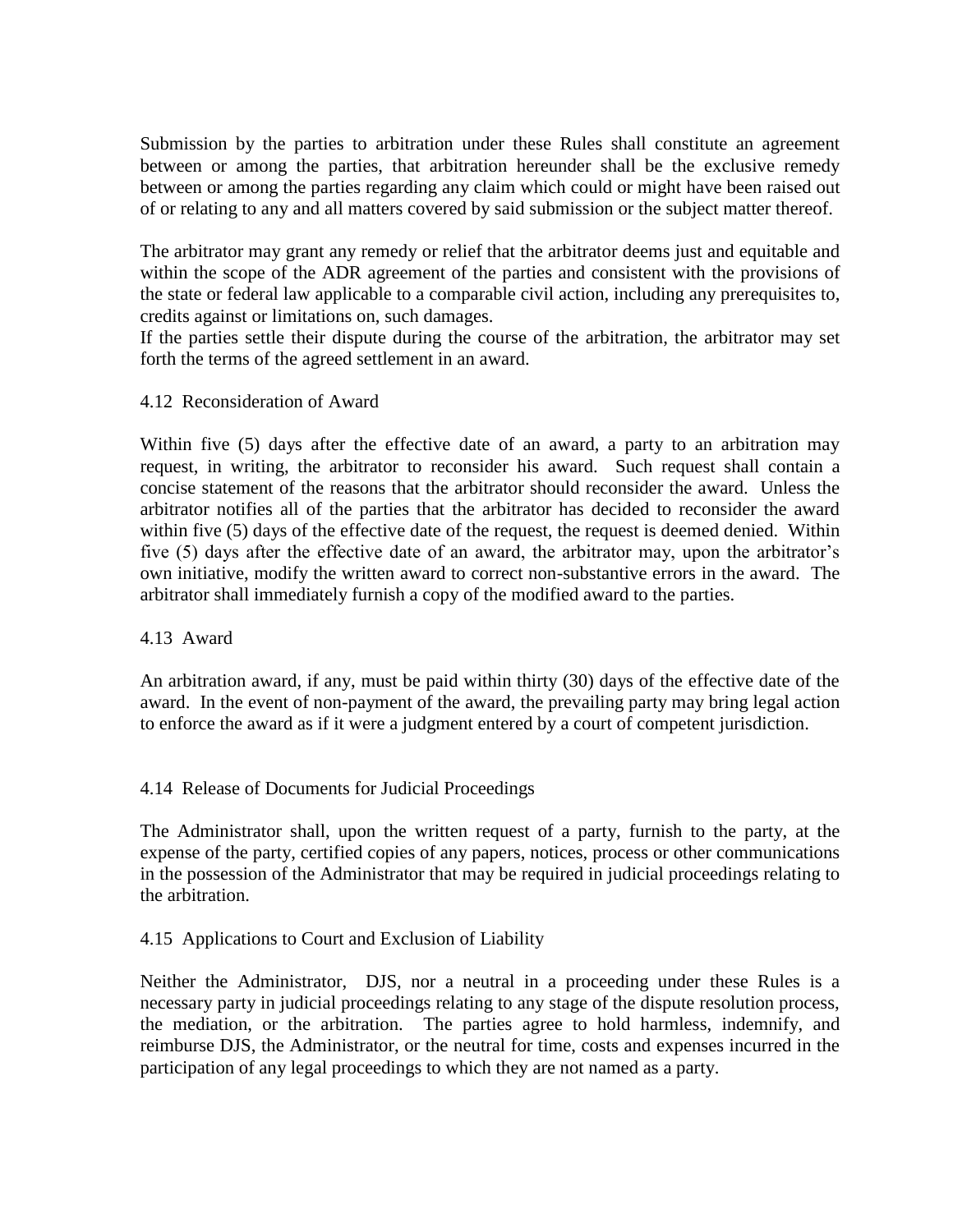Submission by the parties to arbitration under these Rules shall constitute an agreement between or among the parties, that arbitration hereunder shall be the exclusive remedy between or among the parties regarding any claim which could or might have been raised out of or relating to any and all matters covered by said submission or the subject matter thereof.

The arbitrator may grant any remedy or relief that the arbitrator deems just and equitable and within the scope of the ADR agreement of the parties and consistent with the provisions of the state or federal law applicable to a comparable civil action, including any prerequisites to, credits against or limitations on, such damages.

If the parties settle their dispute during the course of the arbitration, the arbitrator may set forth the terms of the agreed settlement in an award.

4.12 Reconsideration of Award

Within five (5) days after the effective date of an award, a party to an arbitration may request, in writing, the arbitrator to reconsider his award. Such request shall contain a concise statement of the reasons that the arbitrator should reconsider the award. Unless the arbitrator notifies all of the parties that the arbitrator has decided to reconsider the award within five (5) days of the effective date of the request, the request is deemed denied. Within five (5) days after the effective date of an award, the arbitrator may, upon the arbitrator's own initiative, modify the written award to correct non-substantive errors in the award. The arbitrator shall immediately furnish a copy of the modified award to the parties.

### 4.13 Award

An arbitration award, if any, must be paid within thirty (30) days of the effective date of the award. In the event of non-payment of the award, the prevailing party may bring legal action to enforce the award as if it were a judgment entered by a court of competent jurisdiction.

# 4.14 Release of Documents for Judicial Proceedings

The Administrator shall, upon the written request of a party, furnish to the party, at the expense of the party, certified copies of any papers, notices, process or other communications in the possession of the Administrator that may be required in judicial proceedings relating to the arbitration.

# 4.15 Applications to Court and Exclusion of Liability

Neither the Administrator, DJS, nor a neutral in a proceeding under these Rules is a necessary party in judicial proceedings relating to any stage of the dispute resolution process, the mediation, or the arbitration. The parties agree to hold harmless, indemnify, and reimburse DJS, the Administrator, or the neutral for time, costs and expenses incurred in the participation of any legal proceedings to which they are not named as a party.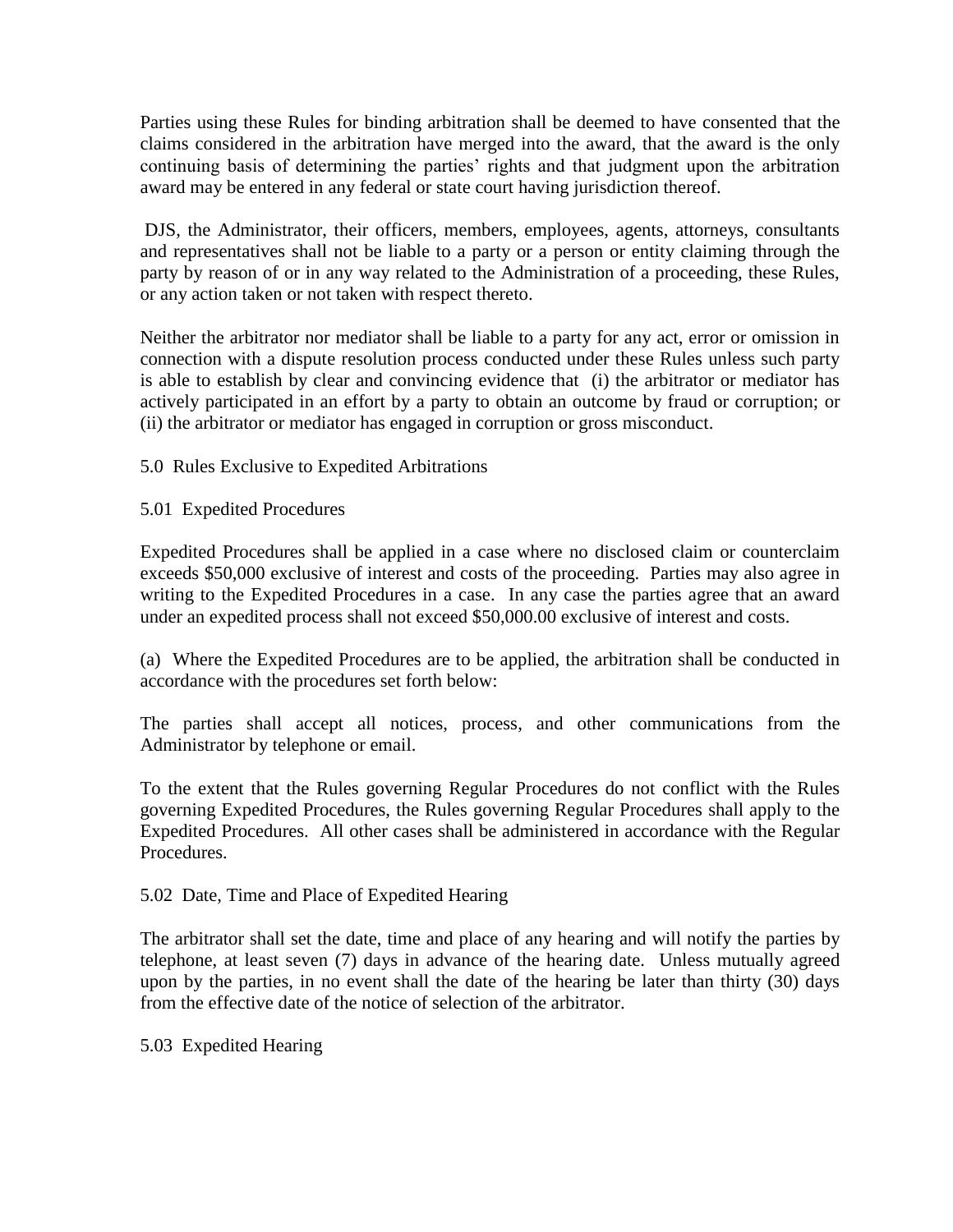Parties using these Rules for binding arbitration shall be deemed to have consented that the claims considered in the arbitration have merged into the award, that the award is the only continuing basis of determining the parties' rights and that judgment upon the arbitration award may be entered in any federal or state court having jurisdiction thereof.

DJS, the Administrator, their officers, members, employees, agents, attorneys, consultants and representatives shall not be liable to a party or a person or entity claiming through the party by reason of or in any way related to the Administration of a proceeding, these Rules, or any action taken or not taken with respect thereto.

Neither the arbitrator nor mediator shall be liable to a party for any act, error or omission in connection with a dispute resolution process conducted under these Rules unless such party is able to establish by clear and convincing evidence that (i) the arbitrator or mediator has actively participated in an effort by a party to obtain an outcome by fraud or corruption; or (ii) the arbitrator or mediator has engaged in corruption or gross misconduct.

5.0 Rules Exclusive to Expedited Arbitrations

5.01 Expedited Procedures

Expedited Procedures shall be applied in a case where no disclosed claim or counterclaim exceeds \$50,000 exclusive of interest and costs of the proceeding. Parties may also agree in writing to the Expedited Procedures in a case. In any case the parties agree that an award under an expedited process shall not exceed \$50,000.00 exclusive of interest and costs.

(a) Where the Expedited Procedures are to be applied, the arbitration shall be conducted in accordance with the procedures set forth below:

The parties shall accept all notices, process, and other communications from the Administrator by telephone or email.

To the extent that the Rules governing Regular Procedures do not conflict with the Rules governing Expedited Procedures, the Rules governing Regular Procedures shall apply to the Expedited Procedures. All other cases shall be administered in accordance with the Regular Procedures.

5.02 Date, Time and Place of Expedited Hearing

The arbitrator shall set the date, time and place of any hearing and will notify the parties by telephone, at least seven (7) days in advance of the hearing date. Unless mutually agreed upon by the parties, in no event shall the date of the hearing be later than thirty (30) days from the effective date of the notice of selection of the arbitrator.

5.03 Expedited Hearing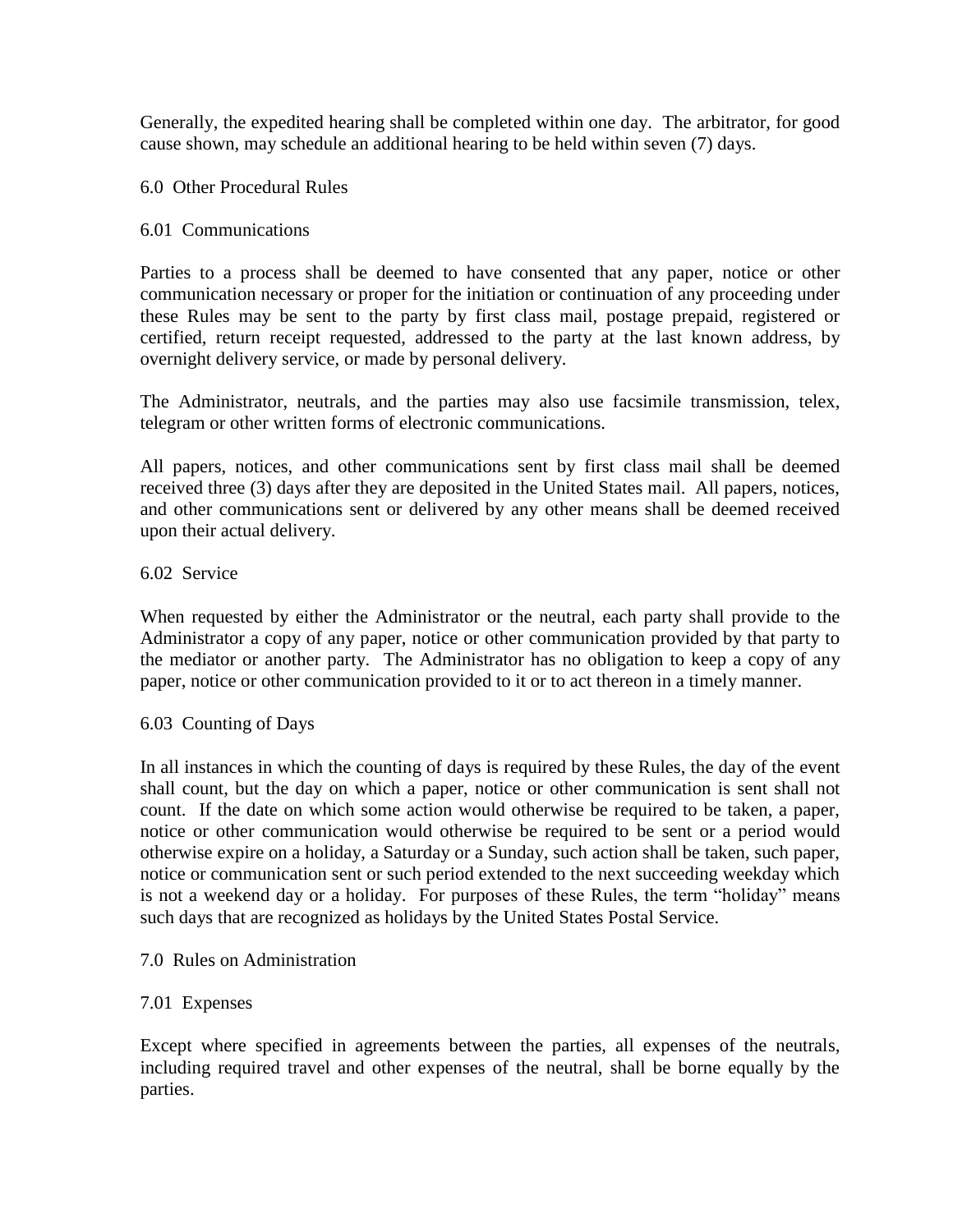Generally, the expedited hearing shall be completed within one day. The arbitrator, for good cause shown, may schedule an additional hearing to be held within seven (7) days.

6.0 Other Procedural Rules

# 6.01 Communications

Parties to a process shall be deemed to have consented that any paper, notice or other communication necessary or proper for the initiation or continuation of any proceeding under these Rules may be sent to the party by first class mail, postage prepaid, registered or certified, return receipt requested, addressed to the party at the last known address, by overnight delivery service, or made by personal delivery.

The Administrator, neutrals, and the parties may also use facsimile transmission, telex, telegram or other written forms of electronic communications.

All papers, notices, and other communications sent by first class mail shall be deemed received three (3) days after they are deposited in the United States mail. All papers, notices, and other communications sent or delivered by any other means shall be deemed received upon their actual delivery.

# 6.02 Service

When requested by either the Administrator or the neutral, each party shall provide to the Administrator a copy of any paper, notice or other communication provided by that party to the mediator or another party. The Administrator has no obligation to keep a copy of any paper, notice or other communication provided to it or to act thereon in a timely manner.

### 6.03 Counting of Days

In all instances in which the counting of days is required by these Rules, the day of the event shall count, but the day on which a paper, notice or other communication is sent shall not count. If the date on which some action would otherwise be required to be taken, a paper, notice or other communication would otherwise be required to be sent or a period would otherwise expire on a holiday, a Saturday or a Sunday, such action shall be taken, such paper, notice or communication sent or such period extended to the next succeeding weekday which is not a weekend day or a holiday. For purposes of these Rules, the term "holiday" means such days that are recognized as holidays by the United States Postal Service.

## 7.0 Rules on Administration

### 7.01 Expenses

Except where specified in agreements between the parties, all expenses of the neutrals, including required travel and other expenses of the neutral, shall be borne equally by the parties.